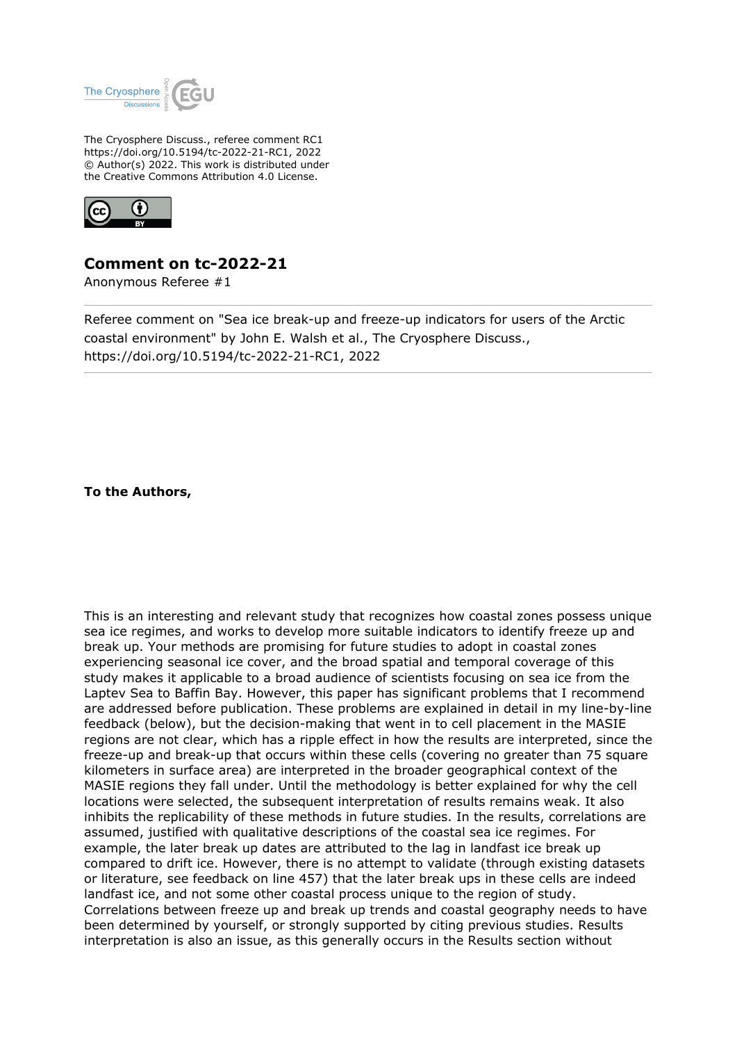

The Cryosphere Discuss., referee comment RC1 https://doi.org/10.5194/tc-2022-21-RC1, 2022 © Author(s) 2022. This work is distributed under the Creative Commons Attribution 4.0 License.



## **Comment on tc-2022-21**

Anonymous Referee #1

Referee comment on "Sea ice break-up and freeze-up indicators for users of the Arctic coastal environment" by John E. Walsh et al., The Cryosphere Discuss., https://doi.org/10.5194/tc-2022-21-RC1, 2022

**To the Authors,**

This is an interesting and relevant study that recognizes how coastal zones possess unique sea ice regimes, and works to develop more suitable indicators to identify freeze up and break up. Your methods are promising for future studies to adopt in coastal zones experiencing seasonal ice cover, and the broad spatial and temporal coverage of this study makes it applicable to a broad audience of scientists focusing on sea ice from the Laptev Sea to Baffin Bay. However, this paper has significant problems that I recommend are addressed before publication. These problems are explained in detail in my line-by-line feedback (below), but the decision-making that went in to cell placement in the MASIE regions are not clear, which has a ripple effect in how the results are interpreted, since the freeze-up and break-up that occurs within these cells (covering no greater than 75 square kilometers in surface area) are interpreted in the broader geographical context of the MASIE regions they fall under. Until the methodology is better explained for why the cell locations were selected, the subsequent interpretation of results remains weak. It also inhibits the replicability of these methods in future studies. In the results, correlations are assumed, justified with qualitative descriptions of the coastal sea ice regimes. For example, the later break up dates are attributed to the lag in landfast ice break up compared to drift ice. However, there is no attempt to validate (through existing datasets or literature, see feedback on line 457) that the later break ups in these cells are indeed landfast ice, and not some other coastal process unique to the region of study. Correlations between freeze up and break up trends and coastal geography needs to have been determined by yourself, or strongly supported by citing previous studies. Results interpretation is also an issue, as this generally occurs in the Results section without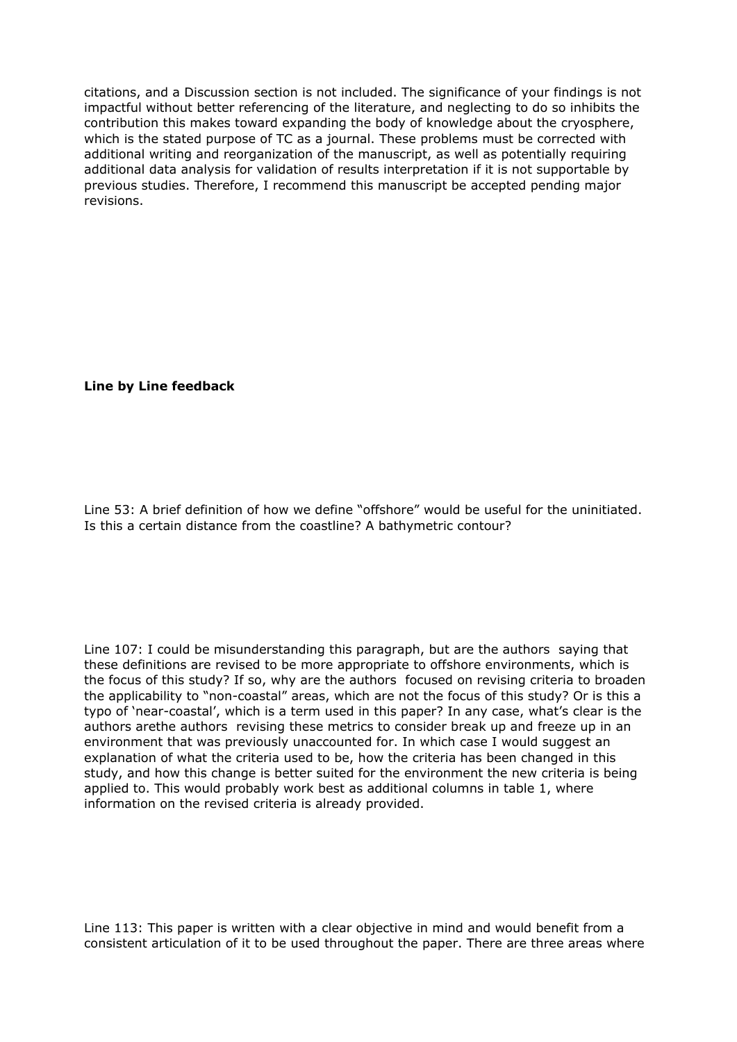citations, and a Discussion section is not included. The significance of your findings is not impactful without better referencing of the literature, and neglecting to do so inhibits the contribution this makes toward expanding the body of knowledge about the cryosphere, which is the stated purpose of TC as a journal. These problems must be corrected with additional writing and reorganization of the manuscript, as well as potentially requiring additional data analysis for validation of results interpretation if it is not supportable by previous studies. Therefore, I recommend this manuscript be accepted pending major revisions.

## **Line by Line feedback**

Line 53: A brief definition of how we define "offshore" would be useful for the uninitiated. Is this a certain distance from the coastline? A bathymetric contour?

Line 107: I could be misunderstanding this paragraph, but are the authors saying that these definitions are revised to be more appropriate to offshore environments, which is the focus of this study? If so, why are the authors focused on revising criteria to broaden the applicability to "non-coastal" areas, which are not the focus of this study? Or is this a typo of 'near-coastal', which is a term used in this paper? In any case, what's clear is the authors arethe authors revising these metrics to consider break up and freeze up in an environment that was previously unaccounted for. In which case I would suggest an explanation of what the criteria used to be, how the criteria has been changed in this study, and how this change is better suited for the environment the new criteria is being applied to. This would probably work best as additional columns in table 1, where information on the revised criteria is already provided.

Line 113: This paper is written with a clear objective in mind and would benefit from a consistent articulation of it to be used throughout the paper. There are three areas where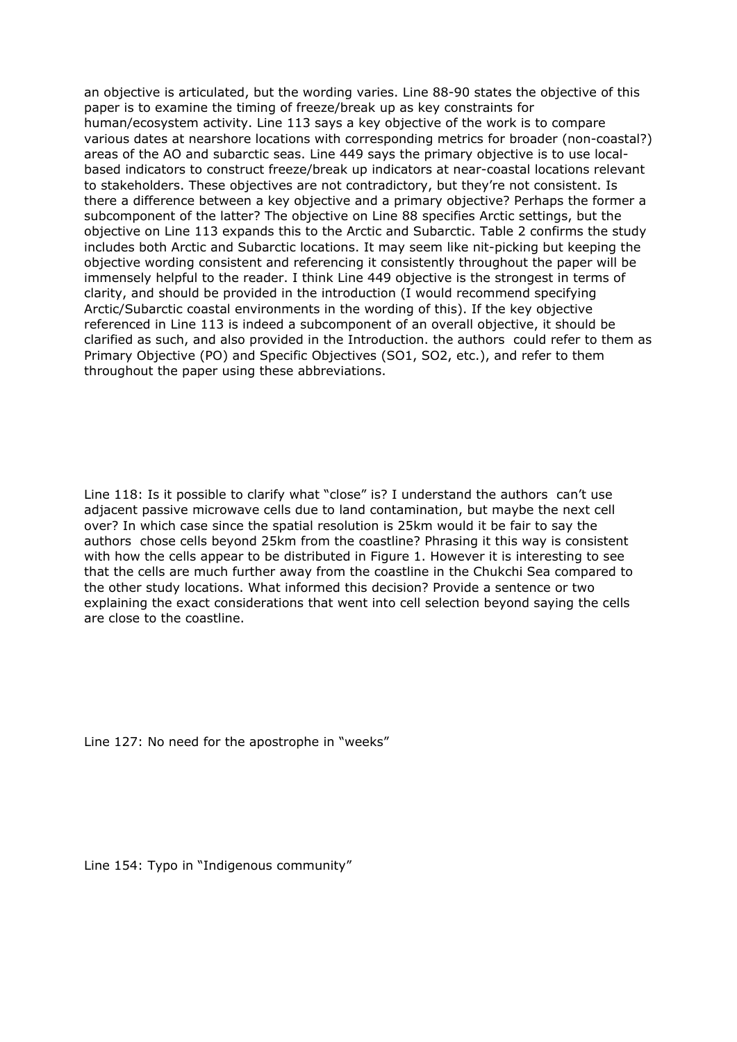an objective is articulated, but the wording varies. Line 88-90 states the objective of this paper is to examine the timing of freeze/break up as key constraints for human/ecosystem activity. Line 113 says a key objective of the work is to compare various dates at nearshore locations with corresponding metrics for broader (non-coastal?) areas of the AO and subarctic seas. Line 449 says the primary objective is to use localbased indicators to construct freeze/break up indicators at near-coastal locations relevant to stakeholders. These objectives are not contradictory, but they're not consistent. Is there a difference between a key objective and a primary objective? Perhaps the former a subcomponent of the latter? The objective on Line 88 specifies Arctic settings, but the objective on Line 113 expands this to the Arctic and Subarctic. Table 2 confirms the study includes both Arctic and Subarctic locations. It may seem like nit-picking but keeping the objective wording consistent and referencing it consistently throughout the paper will be immensely helpful to the reader. I think Line 449 objective is the strongest in terms of clarity, and should be provided in the introduction (I would recommend specifying Arctic/Subarctic coastal environments in the wording of this). If the key objective referenced in Line 113 is indeed a subcomponent of an overall objective, it should be clarified as such, and also provided in the Introduction. the authors could refer to them as Primary Objective (PO) and Specific Objectives (SO1, SO2, etc.), and refer to them throughout the paper using these abbreviations.

Line 118: Is it possible to clarify what "close" is? I understand the authors can't use adjacent passive microwave cells due to land contamination, but maybe the next cell over? In which case since the spatial resolution is 25km would it be fair to say the authors chose cells beyond 25km from the coastline? Phrasing it this way is consistent with how the cells appear to be distributed in Figure 1. However it is interesting to see that the cells are much further away from the coastline in the Chukchi Sea compared to the other study locations. What informed this decision? Provide a sentence or two explaining the exact considerations that went into cell selection beyond saying the cells are close to the coastline.

Line 127: No need for the apostrophe in "weeks"

Line 154: Typo in "Indigenous community"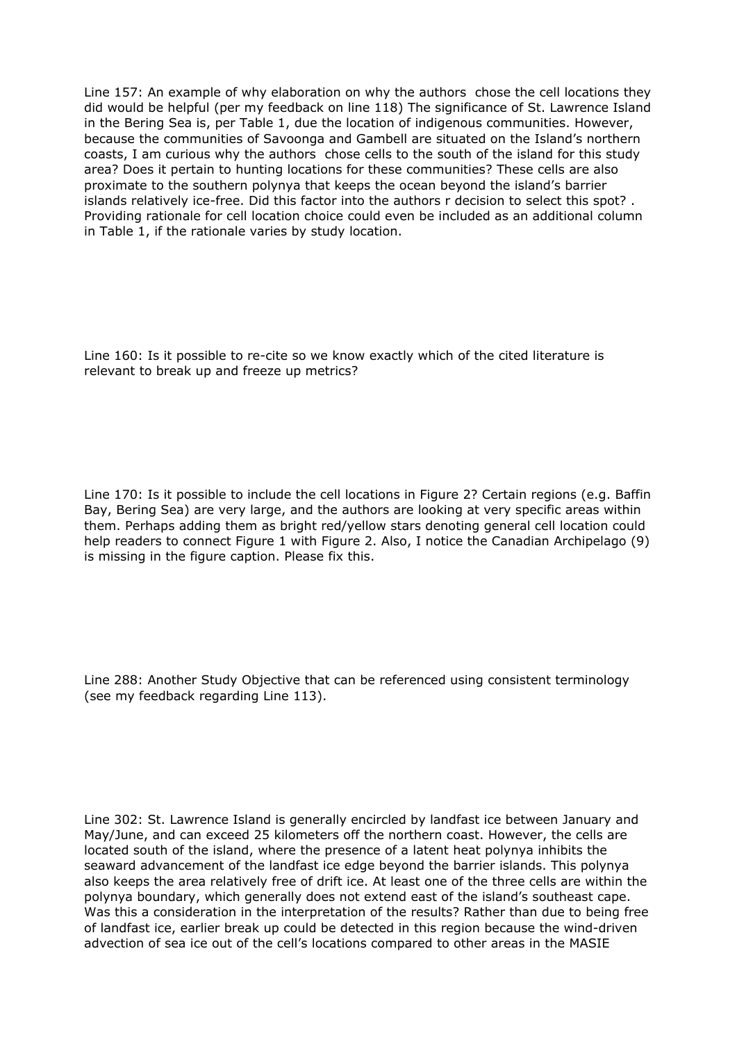Line 157: An example of why elaboration on why the authors chose the cell locations they did would be helpful (per my feedback on line 118) The significance of St. Lawrence Island in the Bering Sea is, per Table 1, due the location of indigenous communities. However, because the communities of Savoonga and Gambell are situated on the Island's northern coasts, I am curious why the authors chose cells to the south of the island for this study area? Does it pertain to hunting locations for these communities? These cells are also proximate to the southern polynya that keeps the ocean beyond the island's barrier islands relatively ice-free. Did this factor into the authors r decision to select this spot? . Providing rationale for cell location choice could even be included as an additional column in Table 1, if the rationale varies by study location.

Line 160: Is it possible to re-cite so we know exactly which of the cited literature is relevant to break up and freeze up metrics?

Line 170: Is it possible to include the cell locations in Figure 2? Certain regions (e.g. Baffin Bay, Bering Sea) are very large, and the authors are looking at very specific areas within them. Perhaps adding them as bright red/yellow stars denoting general cell location could help readers to connect Figure 1 with Figure 2. Also, I notice the Canadian Archipelago (9) is missing in the figure caption. Please fix this.

Line 288: Another Study Objective that can be referenced using consistent terminology (see my feedback regarding Line 113).

Line 302: St. Lawrence Island is generally encircled by landfast ice between January and May/June, and can exceed 25 kilometers off the northern coast. However, the cells are located south of the island, where the presence of a latent heat polynya inhibits the seaward advancement of the landfast ice edge beyond the barrier islands. This polynya also keeps the area relatively free of drift ice. At least one of the three cells are within the polynya boundary, which generally does not extend east of the island's southeast cape. Was this a consideration in the interpretation of the results? Rather than due to being free of landfast ice, earlier break up could be detected in this region because the wind-driven advection of sea ice out of the cell's locations compared to other areas in the MASIE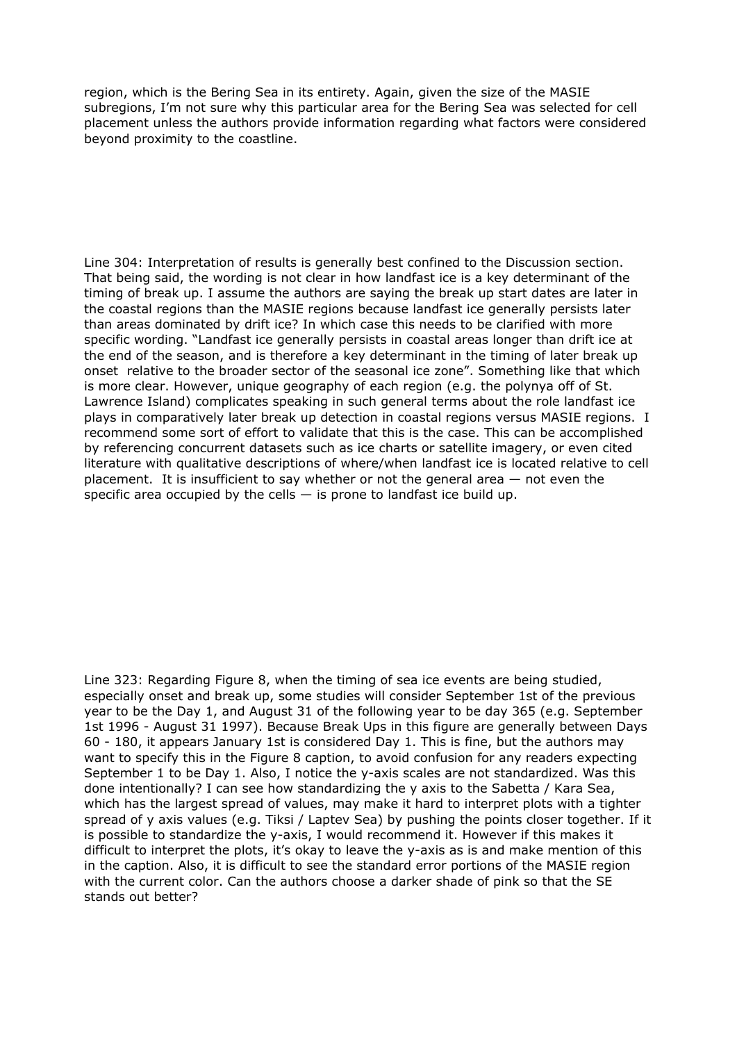region, which is the Bering Sea in its entirety. Again, given the size of the MASIE subregions, I'm not sure why this particular area for the Bering Sea was selected for cell placement unless the authors provide information regarding what factors were considered beyond proximity to the coastline.

Line 304: Interpretation of results is generally best confined to the Discussion section. That being said, the wording is not clear in how landfast ice is a key determinant of the timing of break up. I assume the authors are saying the break up start dates are later in the coastal regions than the MASIE regions because landfast ice generally persists later than areas dominated by drift ice? In which case this needs to be clarified with more specific wording. "Landfast ice generally persists in coastal areas longer than drift ice at the end of the season, and is therefore a key determinant in the timing of later break up onset relative to the broader sector of the seasonal ice zone". Something like that which is more clear. However, unique geography of each region (e.g. the polynya off of St. Lawrence Island) complicates speaking in such general terms about the role landfast ice plays in comparatively later break up detection in coastal regions versus MASIE regions. I recommend some sort of effort to validate that this is the case. This can be accomplished by referencing concurrent datasets such as ice charts or satellite imagery, or even cited literature with qualitative descriptions of where/when landfast ice is located relative to cell placement. It is insufficient to say whether or not the general area  $-$  not even the specific area occupied by the cells  $-$  is prone to landfast ice build up.

Line 323: Regarding Figure 8, when the timing of sea ice events are being studied, especially onset and break up, some studies will consider September 1st of the previous year to be the Day 1, and August 31 of the following year to be day 365 (e.g. September 1st 1996 - August 31 1997). Because Break Ups in this figure are generally between Days 60 - 180, it appears January 1st is considered Day 1. This is fine, but the authors may want to specify this in the Figure 8 caption, to avoid confusion for any readers expecting September 1 to be Day 1. Also, I notice the y-axis scales are not standardized. Was this done intentionally? I can see how standardizing the y axis to the Sabetta / Kara Sea, which has the largest spread of values, may make it hard to interpret plots with a tighter spread of y axis values (e.g. Tiksi / Laptev Sea) by pushing the points closer together. If it is possible to standardize the y-axis, I would recommend it. However if this makes it difficult to interpret the plots, it's okay to leave the y-axis as is and make mention of this in the caption. Also, it is difficult to see the standard error portions of the MASIE region with the current color. Can the authors choose a darker shade of pink so that the SE stands out better?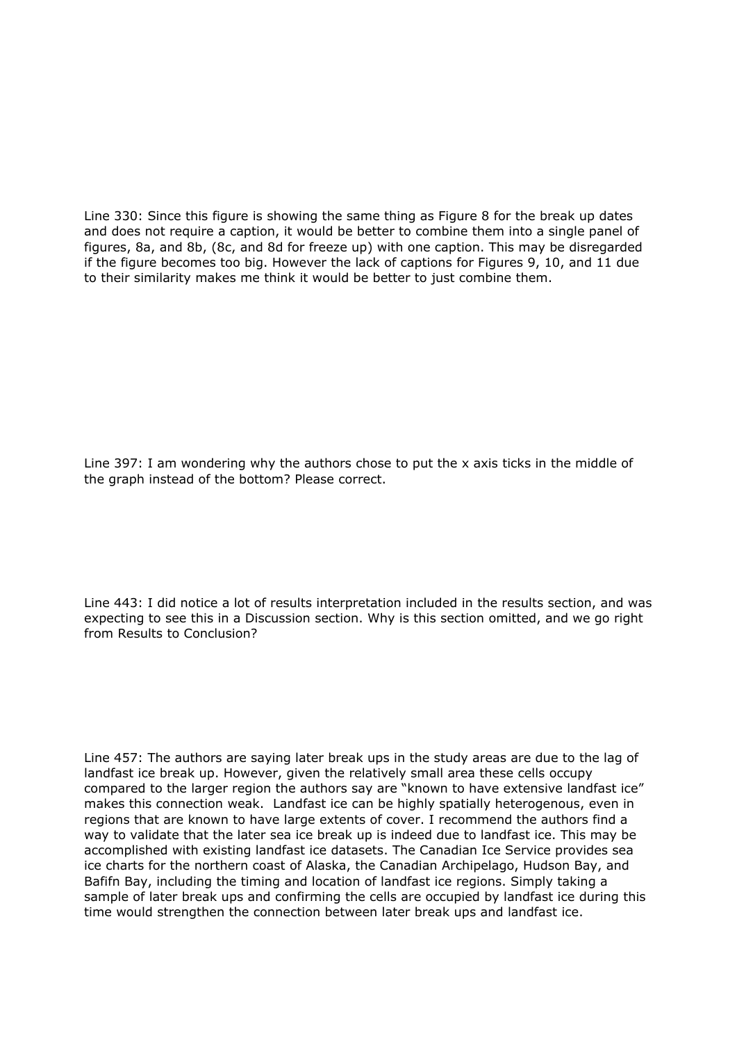Line 330: Since this figure is showing the same thing as Figure 8 for the break up dates and does not require a caption, it would be better to combine them into a single panel of figures, 8a, and 8b, (8c, and 8d for freeze up) with one caption. This may be disregarded if the figure becomes too big. However the lack of captions for Figures 9, 10, and 11 due to their similarity makes me think it would be better to just combine them.

Line 397: I am wondering why the authors chose to put the x axis ticks in the middle of the graph instead of the bottom? Please correct.

Line 443: I did notice a lot of results interpretation included in the results section, and was expecting to see this in a Discussion section. Why is this section omitted, and we go right from Results to Conclusion?

Line 457: The authors are saying later break ups in the study areas are due to the lag of landfast ice break up. However, given the relatively small area these cells occupy compared to the larger region the authors say are "known to have extensive landfast ice" makes this connection weak. Landfast ice can be highly spatially heterogenous, even in regions that are known to have large extents of cover. I recommend the authors find a way to validate that the later sea ice break up is indeed due to landfast ice. This may be accomplished with existing landfast ice datasets. The Canadian Ice Service provides sea ice charts for the northern coast of Alaska, the Canadian Archipelago, Hudson Bay, and Bafifn Bay, including the timing and location of landfast ice regions. Simply taking a sample of later break ups and confirming the cells are occupied by landfast ice during this time would strengthen the connection between later break ups and landfast ice.